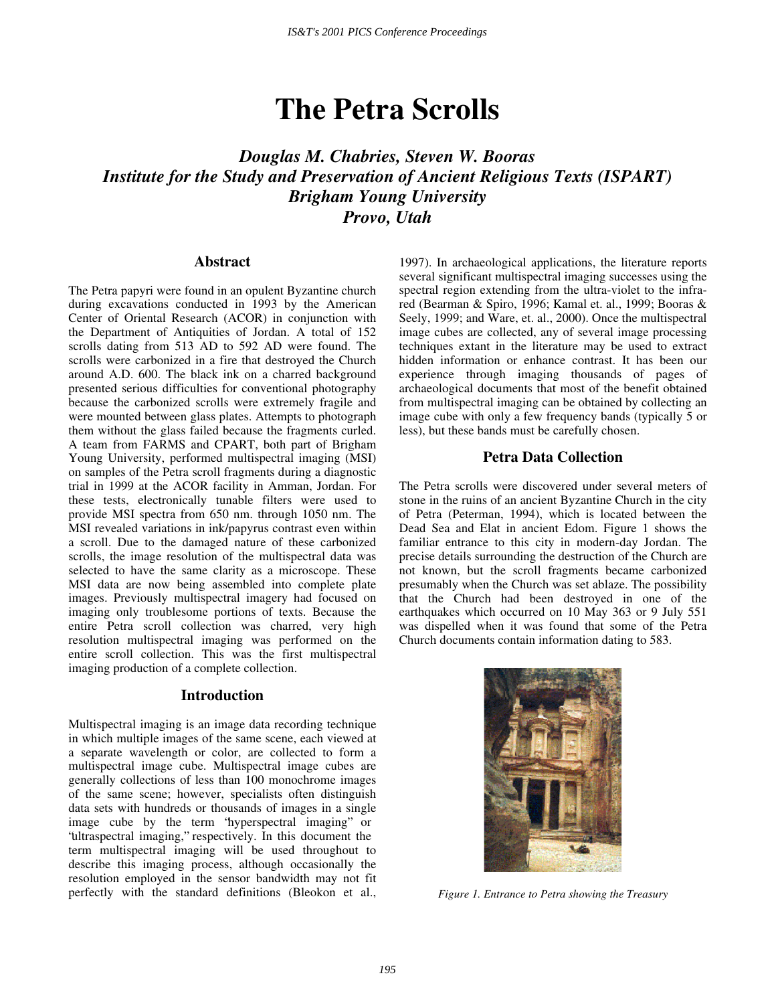# **The Petra Scrolls**

# *Douglas M. Chabries, Steven W. Booras Institute for the Study and Preservation of Ancient Religious Texts (ISPART) Brigham Young University Provo, Utah*

#### **Abstract**

The Petra papyri were found in an opulent Byzantine church during excavations conducted in 1993 by the American Center of Oriental Research (ACOR) in conjunction with the Department of Antiquities of Jordan. A total of 152 scrolls dating from 513 AD to 592 AD were found. The scrolls were carbonized in a fire that destroyed the Church around A.D. 600. The black ink on a charred background presented serious difficulties for conventional photography because the carbonized scrolls were extremely fragile and were mounted between glass plates. Attempts to photograph them without the glass failed because the fragments curled. A team from FARMS and CPART, both part of Brigham Young University, performed multispectral imaging (MSI) on samples of the Petra scroll fragments during a diagnostic trial in 1999 at the ACOR facility in Amman, Jordan. For these tests, electronically tunable filters were used to provide MSI spectra from 650 nm. through 1050 nm. The MSI revealed variations in ink/papyrus contrast even within a scroll. Due to the damaged nature of these carbonized scrolls, the image resolution of the multispectral data was selected to have the same clarity as a microscope. These MSI data are now being assembled into complete plate images. Previously multispectral imagery had focused on imaging only troublesome portions of texts. Because the entire Petra scroll collection was charred, very high resolution multispectral imaging was performed on the entire scroll collection. This was the first multispectral imaging production of a complete collection.

#### **Introduction**

Multispectral imaging is an image data recording technique in which multiple images of the same scene, each viewed at a separate wavelength or color, are collected to form a multispectral image cube. Multispectral image cubes are generally collections of less than 100 monochrome images of the same scene; however, specialists often distinguish data sets with hundreds or thousands of images in a single image cube by the term "hyperspectral imaging" or "ultraspectral imaging," respectively. In this document the term multispectral imaging will be used throughout to describe this imaging process, although occasionally the resolution employed in the sensor bandwidth may not fit perfectly with the standard definitions (Bleokon et al.,

1997). In archaeological applications, the literature reports several significant multispectral imaging successes using the spectral region extending from the ultra-violet to the infrared (Bearman & Spiro, 1996; Kamal et. al., 1999; Booras & Seely, 1999; and Ware, et. al., 2000). Once the multispectral image cubes are collected, any of several image processing techniques extant in the literature may be used to extract hidden information or enhance contrast. It has been our experience through imaging thousands of pages of archaeological documents that most of the benefit obtained from multispectral imaging can be obtained by collecting an image cube with only a few frequency bands (typically 5 or less), but these bands must be carefully chosen.

#### **Petra Data Collection**

The Petra scrolls were discovered under several meters of stone in the ruins of an ancient Byzantine Church in the city of Petra (Peterman, 1994), which is located between the Dead Sea and Elat in ancient Edom. Figure 1 shows the familiar entrance to this city in modern-day Jordan. The precise details surrounding the destruction of the Church are not known, but the scroll fragments became carbonized presumably when the Church was set ablaze. The possibility that the Church had been destroyed in one of the earthquakes which occurred on 10 May 363 or 9 July 551 was dispelled when it was found that some of the Petra Church documents contain information dating to 583.



*Figure 1. Entrance to Petra showing the Treasury*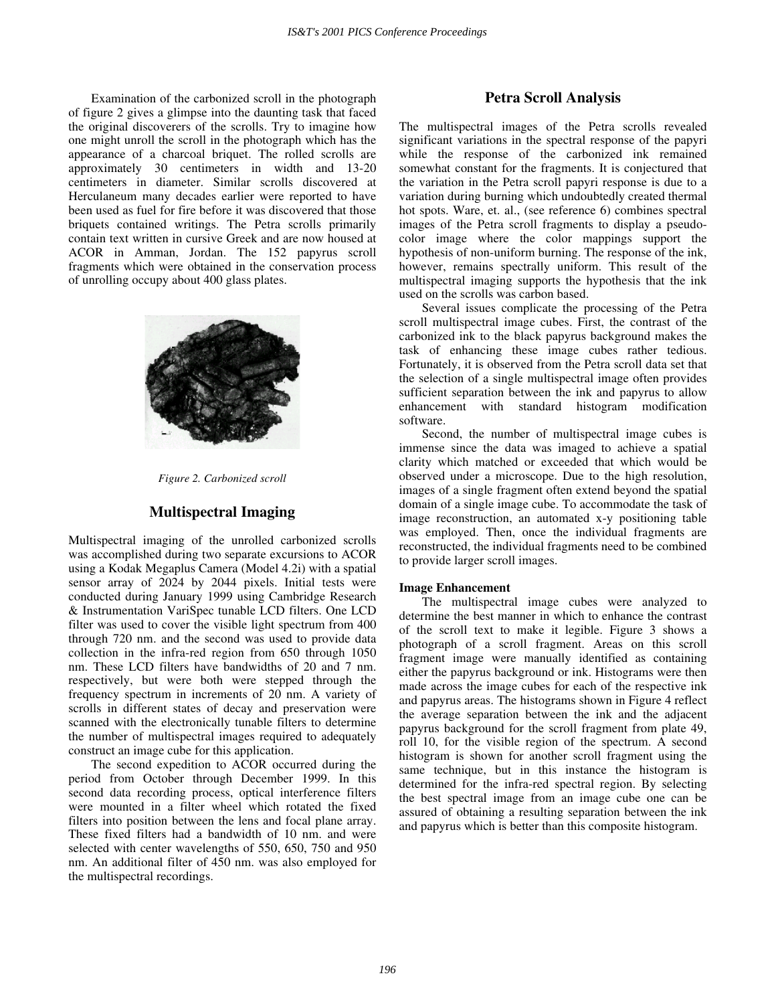Examination of the carbonized scroll in the photograph of figure 2 gives a glimpse into the daunting task that faced the original discoverers of the scrolls. Try to imagine how one might unroll the scroll in the photograph which has the appearance of a charcoal briquet. The rolled scrolls are approximately 30 centimeters in width and 13-20 centimeters in diameter. Similar scrolls discovered at Herculaneum many decades earlier were reported to have been used as fuel for fire before it was discovered that those briquets contained writings. The Petra scrolls primarily contain text written in cursive Greek and are now housed at ACOR in Amman, Jordan. The 152 papyrus scroll fragments which were obtained in the conservation process of unrolling occupy about 400 glass plates.



*Figure 2. Carbonized scroll* 

### **Multispectral Imaging**

Multispectral imaging of the unrolled carbonized scrolls was accomplished during two separate excursions to ACOR using a Kodak Megaplus Camera (Model 4.2i) with a spatial sensor array of 2024 by 2044 pixels. Initial tests were conducted during January 1999 using Cambridge Research & Instrumentation VariSpec tunable LCD filters. One LCD filter was used to cover the visible light spectrum from 400 through 720 nm. and the second was used to provide data collection in the infra-red region from 650 through 1050 nm. These LCD filters have bandwidths of 20 and 7 nm. respectively, but were both were stepped through the frequency spectrum in increments of 20 nm. A variety of scrolls in different states of decay and preservation were scanned with the electronically tunable filters to determine the number of multispectral images required to adequately construct an image cube for this application.

The second expedition to ACOR occurred during the period from October through December 1999. In this second data recording process, optical interference filters were mounted in a filter wheel which rotated the fixed filters into position between the lens and focal plane array. These fixed filters had a bandwidth of 10 nm. and were selected with center wavelengths of 550, 650, 750 and 950 nm. An additional filter of 450 nm. was also employed for the multispectral recordings.

## **Petra Scroll Analysis**

The multispectral images of the Petra scrolls revealed significant variations in the spectral response of the papyri while the response of the carbonized ink remained somewhat constant for the fragments. It is conjectured that the variation in the Petra scroll papyri response is due to a variation during burning which undoubtedly created thermal hot spots. Ware, et. al., (see reference 6) combines spectral images of the Petra scroll fragments to display a pseudocolor image where the color mappings support the hypothesis of non-uniform burning. The response of the ink, however, remains spectrally uniform. This result of the multispectral imaging supports the hypothesis that the ink used on the scrolls was carbon based.

Several issues complicate the processing of the Petra scroll multispectral image cubes. First, the contrast of the carbonized ink to the black papyrus background makes the task of enhancing these image cubes rather tedious. Fortunately, it is observed from the Petra scroll data set that the selection of a single multispectral image often provides sufficient separation between the ink and papyrus to allow enhancement with standard histogram modification software.

Second, the number of multispectral image cubes is immense since the data was imaged to achieve a spatial clarity which matched or exceeded that which would be observed under a microscope. Due to the high resolution, images of a single fragment often extend beyond the spatial domain of a single image cube. To accommodate the task of image reconstruction, an automated x-y positioning table was employed. Then, once the individual fragments are reconstructed, the individual fragments need to be combined to provide larger scroll images.

#### **Image Enhancement**

The multispectral image cubes were analyzed to determine the best manner in which to enhance the contrast of the scroll text to make it legible. Figure 3 shows a photograph of a scroll fragment. Areas on this scroll fragment image were manually identified as containing either the papyrus background or ink. Histograms were then made across the image cubes for each of the respective ink and papyrus areas. The histograms shown in Figure 4 reflect the average separation between the ink and the adjacent papyrus background for the scroll fragment from plate 49, roll 10, for the visible region of the spectrum. A second histogram is shown for another scroll fragment using the same technique, but in this instance the histogram is determined for the infra-red spectral region. By selecting the best spectral image from an image cube one can be assured of obtaining a resulting separation between the ink and papyrus which is better than this composite histogram.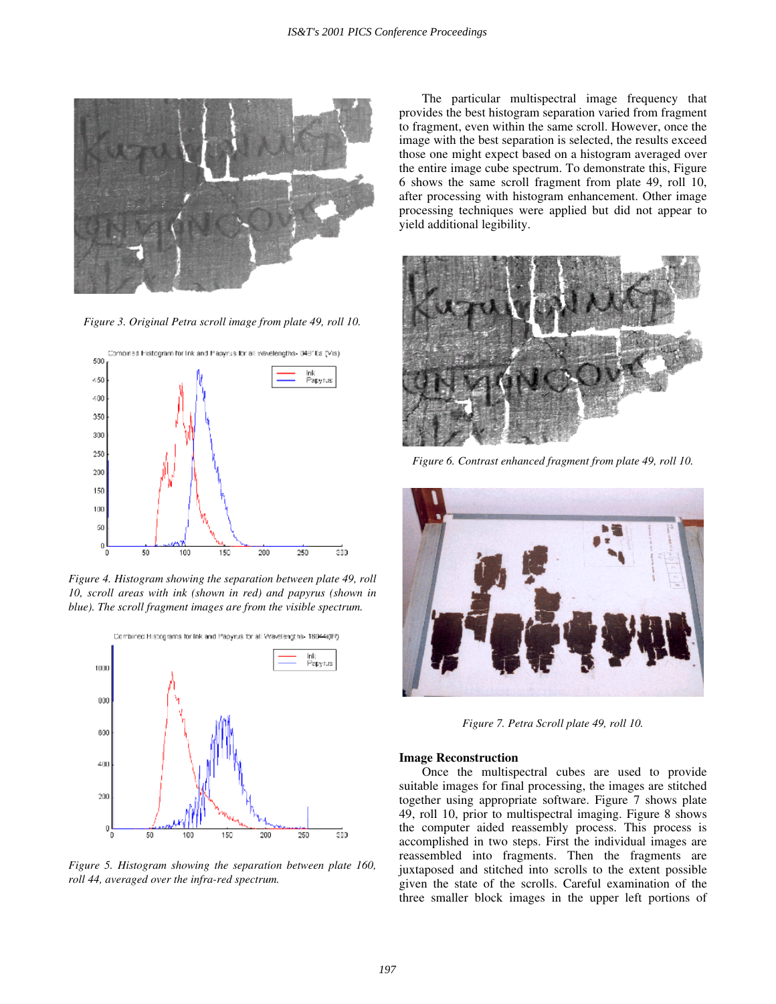

*Figure 3. Original Petra scroll image from plate 49, roll 10.* 



*Figure 4. Histogram showing the separation between plate 49, roll 10, scroll areas with ink (shown in red) and papyrus (shown in blue). The scroll fragment images are from the visible spectrum.* 



*Figure 5. Histogram showing the separation between plate 160, roll 44, averaged over the infra-red spectrum.* 

The particular multispectral image frequency that provides the best histogram separation varied from fragment to fragment, even within the same scroll. However, once the image with the best separation is selected, the results exceed those one might expect based on a histogram averaged over the entire image cube spectrum. To demonstrate this, Figure 6 shows the same scroll fragment from plate 49, roll 10, after processing with histogram enhancement. Other image processing techniques were applied but did not appear to yield additional legibility.



*Figure 6. Contrast enhanced fragment from plate 49, roll 10.* 



*Figure 7. Petra Scroll plate 49, roll 10.* 

#### **Image Reconstruction**

Once the multispectral cubes are used to provide suitable images for final processing, the images are stitched together using appropriate software. Figure 7 shows plate 49, roll 10, prior to multispectral imaging. Figure 8 shows the computer aided reassembly process. This process is accomplished in two steps. First the individual images are reassembled into fragments. Then the fragments are juxtaposed and stitched into scrolls to the extent possible given the state of the scrolls. Careful examination of the three smaller block images in the upper left portions of